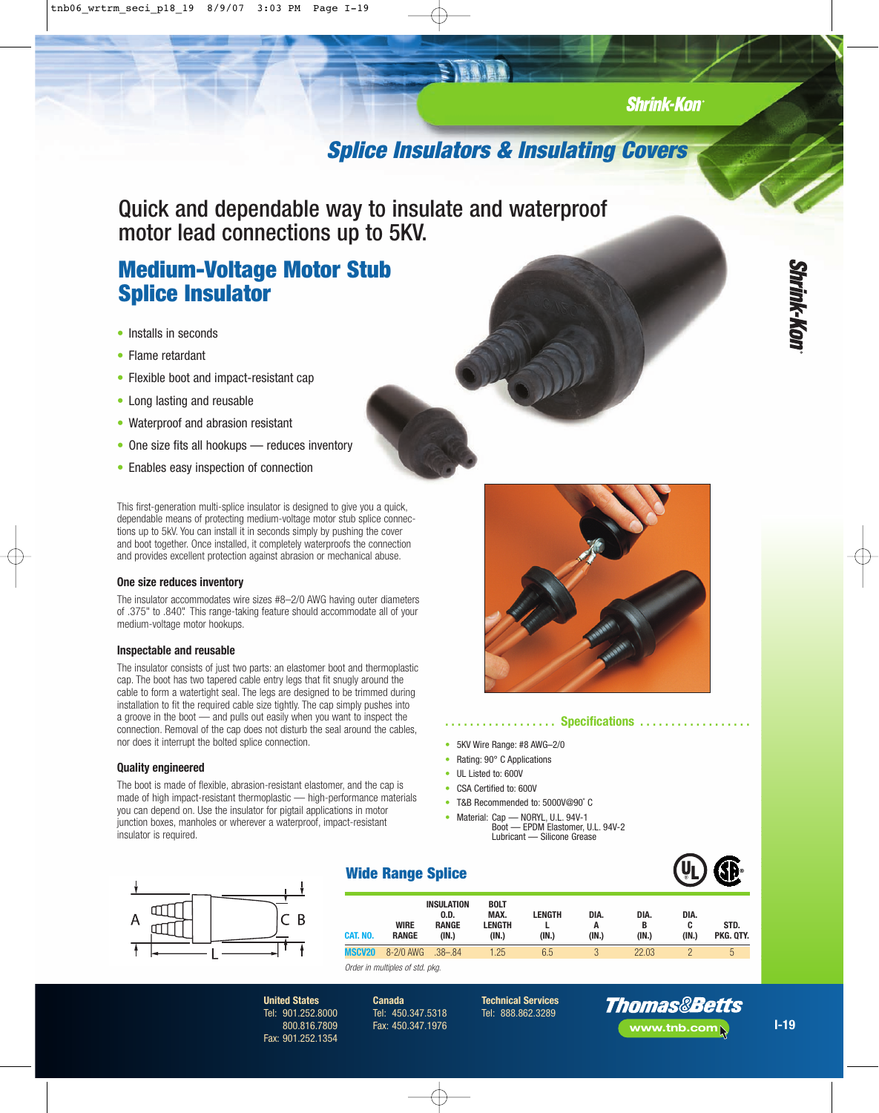## **Shrink-Kon**

# **Splice Insulators & Insulating Covers**

Quick and dependable way to insulate and waterproof motor lead connections up to 5KV.

# **Medium-Voltage Motor Stub Splice Insulator**

- Installs in seconds
- Flame retardant
- Flexible boot and impact-resistant cap
- Long lasting and reusable
- Waterproof and abrasion resistant
- One size fits all hookups reduces inventory
- Enables easy inspection of connection

This first-generation multi-splice insulator is designed to give you a quick, dependable means of protecting medium-voltage motor stub splice connections up to 5kV. You can install it in seconds simply by pushing the cover and boot together. Once installed, it completely waterproofs the connection and provides excellent protection against abrasion or mechanical abuse.

#### **One size reduces inventory**

The insulator accommodates wire sizes #8–2/0 AWG having outer diameters of .375" to .840". This range-taking feature should accommodate all of your medium-voltage motor hookups.

#### **Inspectable and reusable**

The insulator consists of just two parts: an elastomer boot and thermoplastic cap. The boot has two tapered cable entry legs that fit snugly around the cable to form a watertight seal. The legs are designed to be trimmed during installation to fit the required cable size tightly. The cap simply pushes into a groove in the boot — and pulls out easily when you want to inspect the connection. Removal of the cap does not disturb the seal around the cables, nor does it interrupt the bolted splice connection.

#### **Quality engineered**

The boot is made of flexible, abrasion-resistant elastomer, and the cap is made of high impact-resistant thermoplastic — high-performance materials you can depend on. Use the insulator for pigtail applications in motor junction boxes, manholes or wherever a waterproof, impact-resistant insulator is required.

> **United States** Tel: 901.252.8000 800.816.7809 Fax: 901.252.1354





### *............* **Specifications ..............**

- 5KV Wire Range: #8 AWG–2/0
- Rating: 90° C Applications
- UL Listed to: 600V
- CSA Certified to: 600V
- T&B Recommended to: 5000V@90˚ C
- Material: Cap NORYL, U.L. 94V-1 Boot EPDM Elastomer, U.L. 94V-2 Lubricant — Silicone Grease



## **Wide Range Splice**

| CAT. NO.      | <b>WIRE</b><br><b>RANGE</b> | <b>INSULATION</b><br>0.D.<br><b>RANGE</b><br>(IN.) | <b>BOLT</b><br>MAX.<br>LENGTH<br>(IN.) | LENGTH<br>(IN.) | DIA.<br>(IN.) | DIA.<br>В<br>(IN.) | DIA.<br>C<br>(IN.) | STD.<br>PKG. OTY. |
|---------------|-----------------------------|----------------------------------------------------|----------------------------------------|-----------------|---------------|--------------------|--------------------|-------------------|
| <b>MSCV20</b> | 8-2/0 AWG                   | $.38 - .84$                                        | 1.25                                   | 6.5             |               | 22.03              |                    | $\sqrt{2}$        |

Order in multiples of std. pkg.

**Canada** Tel: 450.347.5318 Fax: 450.347.1976

**Technical Services** Tel: 888.862.3289



**I-19**